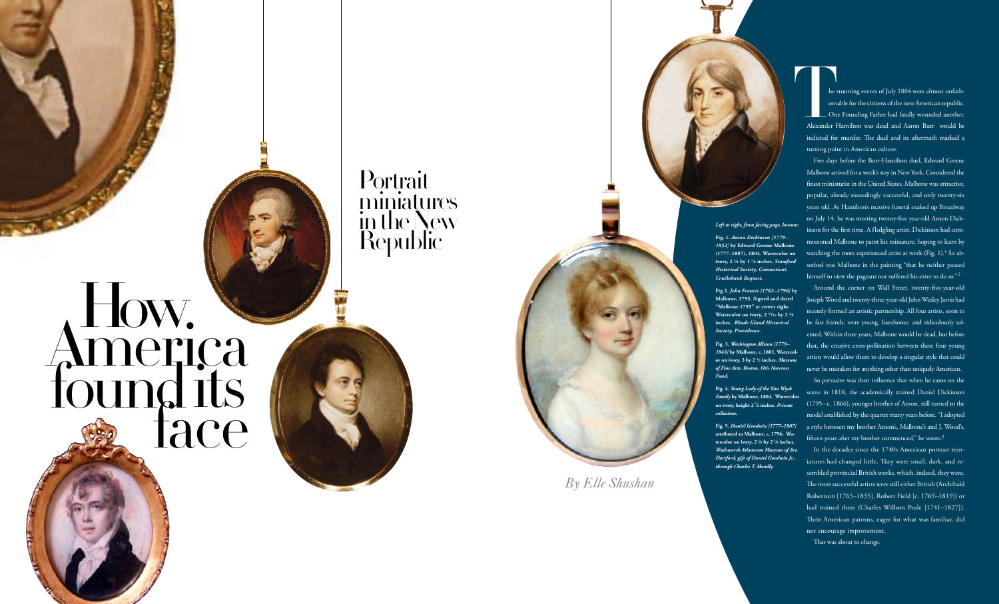**Portrait** miniatures in the New **Republic** 

# How. America<br>found its found its<br>face

he stunning events of July 1804 were almost unfath omable for the citizens of the new American republic. One Founding Father had fatally wounded another. Alexander Hamilton was dead and Aaron Burr would be indicted for murder. The duel and its aftermath marked a turning point in American culture. The state<br>
om<br>
Don<br>
Alexander I

Five days before the Burr-Hamilton duel, Edward Greene Malbone arrived for a week's stay in New York. Considered the finest miniaturist in the United States, Malbone was attractive, popular, already exceedingly successful, and only twenty-six years old. As Hamilton's massive funeral snaked up Broadway on July 14, he was meeting twenty-five year-old Anson Dickinson for the first time. A fledgling artist, Dickinson had commissioned Malbone to paint his miniature, hoping to learn by watching the more experienced artist at work (Fig. 1).<sup>1</sup> So absorbed was Malbone in the painting "that he neither paused himself to view the pageant nor suffered his sitter to do so."  $^2$ 

So pervasive was their influence that when he came on the scene in 1818, the academically trained Daniel Dickinson (1795–c. 1866), younger brother of Anson, still turned to the model established by the quartet many years before. "I adopted a style between my brother Anson's, Malbone's and J. Wood's, fifteen years after my brother commenced," he wrote.<sup>3</sup>

Around the corner on Wall Street, twenty-five-year-old Joseph Wood and twenty-three-year-old John Wesley Jarvis had recently formed an artistic partnership. All four artists, soon to be fast friends, were young, handsome, and ridiculously tal ented. Within three years, Malbone would be dead, but before that, the creative cross-pollination between these four young artists would allow them to develop a singular style that could never be mistaken for anything other than uniquely American.

In the decades since the 1740s American portrait min iatures had changed little. They were small, dark, and re sembled provincial British works, which, indeed, they were. The most successful artists were still either British (Archibald Robertson [1765–1835], Robert Field [c. 1769–1819]) or had trained there (Charles Willson Peale [1741–1827]). Their American patrons, eager for what was familiar, did not encourage improvement.

That was about to change.



*1852]* **by Edward Greene Malbone (1777–1807), 1804. Watercolor on ivory, 2 ½ by 1 7⁄8 inches.** *Stamford Historical Society, Connecticut,* 

**Malbone, 1795. Signed and dated "Malbone 1795" at center right. Watercolor on ivory, 2 13⁄16 by 2 1⁄8 inches.** *Rhode Island Historical* 



*1843]* **by Malbone, c. 1801. Watercol or on ivory, 3 by 2 1⁄2 inches.** *Museum of Fine Arts, Boston, Otis Norcross* 

*Family* **by Malbone, 1804. Watercolor on ivory, height 2 7⁄8 inches.** *Private* 

**attributed to Malbone, c. 1796. Watercolor on ivory, 2 5⁄8 by 2 1⁄8 inches.**  *Wadsworth Atheneum Museum of Art, Hartford, gift of Daniel Goodwin Jr.,*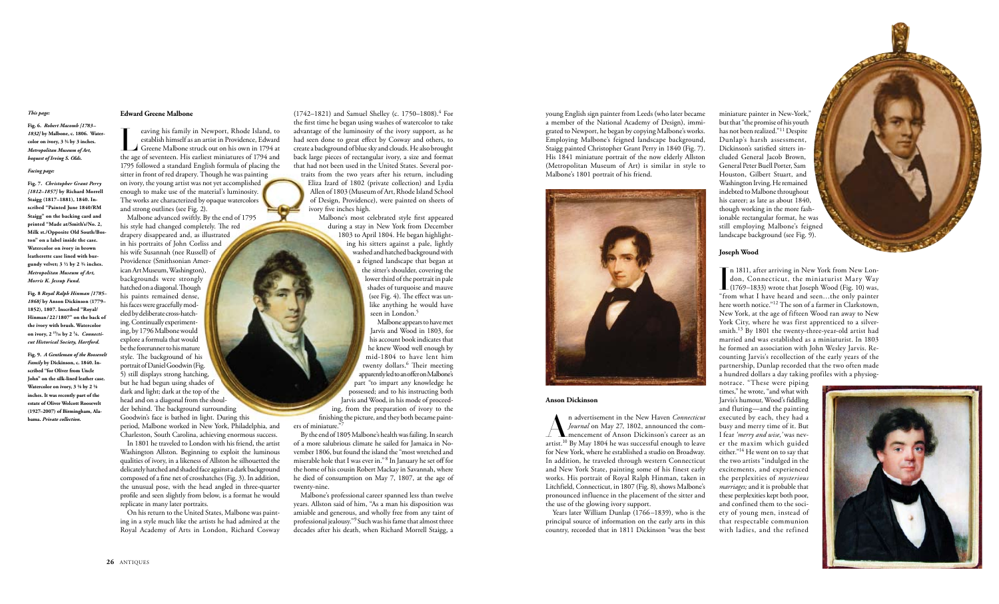# **Edward Greene Malbone**

Eventy and Search in Newport, Rhode Island, to<br>establish himself as an artist in Providence, Edward<br>Greene Malbone struck out on his own in 1794 at<br>the age of seventeen. His earliest miniatures of 1794 and establish himself as an artist in Providence, Edward Greene Malbone struck out on his own in 1794 at the age of seventeen. His earliest miniatures of 1794 and 1795 followed a standard English formula of placing the sitter in front of red drapery. Though he was painting on ivory, the young artist was not yet accomplished enough to make use of the material's luminosity. The works are characterized by opaque watercolors and strong outlines (see Fig. 2).

Malbone advanced swiftly. By the end of 1795 his style had changed completely. The red drapery disappeared and, as illustrated in his portraits of John Corliss and his wife Susannah (nee Russell) of Providence (Smithsonian American Art Museum, Washington), backgrounds were strongly hatched on a diagonal. Though his paints remained dense, his faces were gracefully modeled by deliberate cross-hatching. Continually experimenting, by 1796 Malbone would explore a formula that would be the forerunner to his mature style. The background of his portrait of Daniel Goodwin (Fig. 5) still displays strong hatching, but he had begun using shades of dark and light; dark at the top of the head and on a diagonal from the shoulder behind. The background surrounding Goodwin's face is bathed in light. During this

(1742–1821) and Samuel Shelley (c. 1750–1808).<sup>4</sup> For the first time he began using washes of watercolor to take advantage of the luminosity of the ivory support, as he had seen done to great effect by Cosway and others, to create a background of blue sky and clouds. He also brought back large pieces of rectangular ivory, a size and format that had not been used in the United States. Several portraits from the two years after his return, including

> Malbone's most celebrated style first appeared during a stay in New York from December 1803 to April 1804. He began highlighting his sitters against a pale, lightly washed and hatched background with a feigned landscape that began at the sitter's shoulder, covering the lower third of the portrait in pale shades of turquoise and mauve (see Fig. 4). The effect was unlike anything he would have seen in London.<sup>5</sup>

period, Malbone worked in New York, Philadelphia, and Charleston, South Carolina, achieving enormous success.

In 1801 he traveled to London with his friend, the artist Washington Allston. Beginning to exploit the luminous qualities of ivory, in a likeness of Allston he silhouetted the delicately hatched and shaded face against a dark background composed of a fine net of crosshatches (Fig. 3). In addition, the unusual pose, with the head angled in three-quarter profile and seen slightly from below, is a format he would replicate in many later portraits.

On his return to the United States, Malbone was painting in a style much like the artists he had admired at the Royal Academy of Arts in London, Richard Cosway Eliza Izard of 1802 (private collection) and Lydia Allen of 1803 (Museum of Art, Rhode Island School of Design, Providence), were painted on sheets of ivory five inches high.

miniature painter in New-York," but that "the promise of his youth has not been realized."11 Despite Dunlap's harsh assessment, Dickinson's satisfied sitters included General Jacob Brown, General Peter Buell Porter, Sam Houston, Gilbert Stuart, and Washington Irving. He remained indebted to Malbone throughout his career; as late as about 1840, though working in the more fashionable rectangular format, he was still employing Malbone's feigned landscape background (see Fig. 9).

 $\prod_{\text{``frc}}$ n 1811, after arriving in New York from New London, Connecticut, the miniaturist Mary Way (1769–1833) wrote that Joseph Wood (Fig. 10) was, "from what I have heard and seen…the only painter here worth notice."12 The son of a farmer in Clarkstown, New York, at the age of fifteen Wood ran away to New York City, where he was first apprenticed to a silversmith.13 By 1801 the twenty-three-year-old artist had married and was established as a miniaturist. In 1803 he formed an association with John Wesley Jarvis. Recounting Jarvis's recollection of the early years of the partnership, Dunlap recorded that the two often made a hundred dollars a day taking profiles with a physiog-

Malbone appears to have met Jarvis and Wood in 1803, for his account book indicates that he knew Wood well enough by mid-1804 to have lent him twenty dollars.<sup>6</sup> Their meeting apparently led to an offer on Malbone's part "to impart any knowledge he possessed; and to his instructing both Jarvis and Wood, in his mode of proceeding, from the preparation of ivory to the finishing the picture, and they both became paint-

ers of miniature.'

By the end of 1805 Malbone's health was failing. In search of a more salubrious climate he sailed for Jamaica in November 1806, but found the island the "most wretched and miserable hole that I was ever in." 8 In January he set off for the home of his cousin Robert Mackay in Savannah, where he died of consumption on May 7, 1807, at the age of twenty-nine.

Malbone's professional career spanned less than twelve years. Allston said of him, "As a man his disposition was amiable and generous, and wholly free from any taint of professional jealousy."9 Such was his fame that almost three decades after his death, when Richard Morrell Staigg, a

young English sign painter from Leeds (who later became a member of the National Academy of Design), immigrated to Newport, he began by copying Malbone's works. Employing Malbone's feigned landscape background, Staigg painted Christopher Grant Perry in 1840 (Fig. 7). His 1841 miniature portrait of the now elderly Allston (Metropolitan Museum of Art) is similar in style to Malbone's 1801 portrait of his friend.



### **Anson Dickinson**

An advertisement in the New Haven *Connecticut Journal* on May 27, 1802, announced the commencement of Anson Dickinson's career as an artist.<sup>10</sup> By May 1804 he was successful enough to leave for New York, where he established a studio on Broadway. In addition, he traveled through western Connecticut and New York State, painting some of his finest early works. His portrait of Royal Ralph Hinman, taken in Litchfield, Connecticut, in 1807 (Fig. 8), shows Malbone's pronounced influence in the placement of the sitter and the use of the glowing ivory support.

Years later William Dunlap (1766–1839), who is the principal source of information on the early arts in this country, recorded that in 1811 Dickinson "was the best

# **Joseph Wood**

notrace. "These were piping times," he wrote, "and what with Jarvis's humour, Wood's fiddling and fluting—and the painting executed by each, they had a busy and merry time of it. But I fear *'merry and wise,'* was never the maxim which guided either."14 He went on to say that the two artists "indulged in the excitements, and experienced the perplexities of *mysterious marriages;* and it is probable that these perplexities kept both poor, and confined them to the society of young men, instead of that respectable communion with ladies, and the refined



# *This page:*

**Fig. 6.** *Robert Macomb [1783– 1832]* **by Malbone, c. 1806. Watercolor on ivory, 3 3⁄4 by 3 inches.**  *Metropolitan Museum of Art, bequest of Irving S. Olds***.**

### *Facing page:*

**Fig. 7.** *Christopher Grant Perry [1812–1857]* **by Richard Morrell Staigg (1817–1881), 1840. Inscribed "Painted June 1840/RM Staigg" on the backing card and printed "Made at/Smith's/No. 2, Milk st./Opposite Old South/Boston" on a label inside the case. Watercolor on ivory in brown leatherette case lined with burgundy velvet; 3 1⁄2 by 2 3⁄4 inches.**  *Metropolitan Museum of Art, Morris K. Jessup Fund.*

**Fig. 8** *Royal Ralph Hinman [1785– 1868]* **by Anson Dickinson (1779– 1852), 1807. Inscribed "Royal/ Hinman/22/1807" on the back of the ivory with brush. Watercolor on ivory, 2 15⁄16 by 2 1⁄6.** *Connecticut Historical Society, Hartford.*

**Fig. 9.** *A Gentleman of the Roosevelt Family* **by Dickinson, c. 1840. Inscribed "for Oliver from Uncle John" on the silk-lined leather case. Watercolor on ivory, 3 1⁄8 by 2 1⁄8 inches. It was recently part of the estate of Oliver Wolcott Roosevelt (1927–2007) of Birmingham, Alabama.** *Private collection.*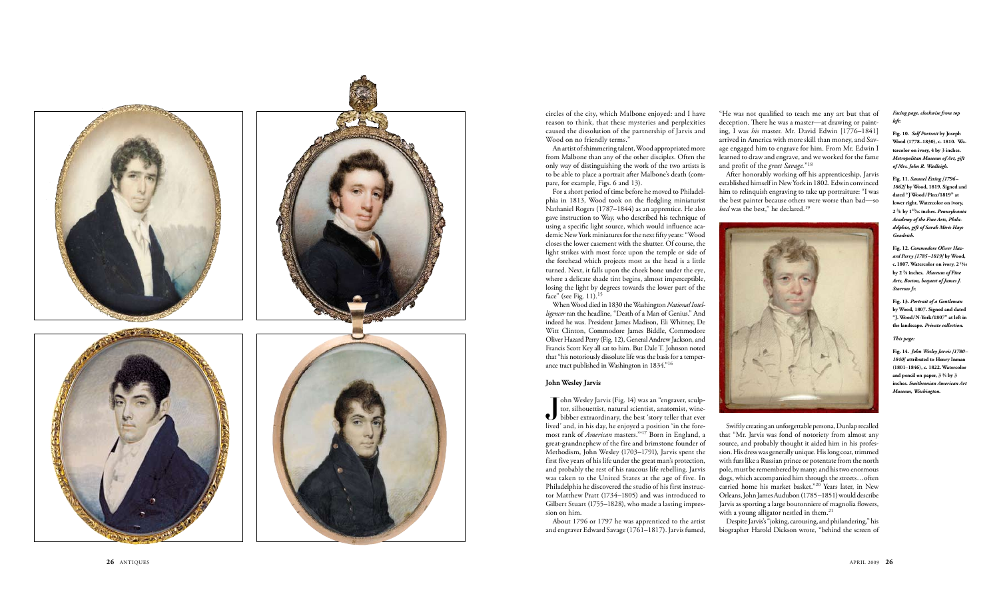

circles of the city, which Malbone enjoyed: and I have reason to think, that these mysteries and perplexities caused the dissolution of the partnership of Jarvis and Wood on no friendly terms."

An artist of shimmering talent, Wood appropriated more from Malbone than any of the other disciples. Often the only way of distinguishing the work of the two artists is to be able to place a portrait after Malbone's death (com pare, for example, Figs. 6 and 13).

For a short period of time before he moved to Philadel phia in 1813, Wood took on the fledgling miniaturist Nathaniel Rogers (1787–1844) as an apprentice. He also gave instruction to Way, who described his technique of using a specific light source, which would influence aca demic New York miniatures for the next fifty years: "Wood closes the lower casement with the shutter. Of course, the light strikes with most force upon the temple or side of the forehead which projects most as the head is a little turned. Next, it falls upon the cheek bone under the eye, where a delicate shade tint begins, almost imperceptible, losing the light by degrees towards the lower part of the face" (see Fig. 11).15

 $\int$ lived ohn Wesley Jarvis (Fig. 14) was an "engraver, sculp tor, silhouettist, natural scientist, anatomist, winebibber extraordinary, the best 'story teller that ever lived' and, in his day, he enjoyed a position 'in the fore most rank of *American* masters.'"17 Born in England, a great-grandnephew of the fire and brimstone founder of Methodism, John Wesley (1703–1791), Jarvis spent the first five years of his life under the great man's protection, and probably the rest of his raucous life rebelling. Jarvis was taken to the United States at the age of five. In Philadelphia he discovered the studio of his first instruc tor Matthew Pratt (1734–1805) and was introduced to Gilbert Stuart (1755–1828), who made a lasting impres sion on him.

When Wood died in 1830 the Washington *National Intelligencer* ran the headline, "Death of a Man of Genius." And indeed he was. President James Madison, Eli Whitney, De Witt Clinton, Commodore James Biddle, Commodore Oliver Hazard Perry (Fig. 12), General Andrew Jackson, and Francis Scott Key all sat to him. But Dale T. Johnson noted that "his notoriously dissolute life was the basis for a temper ance tract published in Washington in 1834."16

> Swiftly creating an unforgettable persona, Dunlap recalled that "Mr. Jarvis was fond of notoriety from almost any source, and probably thought it aided him in his profes sion. His dress was generally unique. His long coat, trimmed with furs like a Russian prince or potentate from the north pole, must be remembered by many; and his two enormous dogs, which accompanied him through the streets…often carried home his market basket."20 Years later, in New Orleans, John James Audubon (1785–1851) would describe Jarvis as sporting a large boutonniere of magnolia flowers, with a young alligator nestled in them.<sup>21</sup>

# **John Wesley Jarvis**

"He was not qualified to teach me any art but that of deception. There he was a master—at drawing or paint ing, I was *his* master. Mr. David Edwin [1776–1841] arrived in America with more skill than money, and Sav age engaged him to engrave for him. From Mr. Edwin I learned to draw and engrave, and we worked for the fame and profit of the *great Savage.* "<sup>18</sup>

After honorably working off his apprenticeship, Jarvis established himself in New York in 1802. Edwin convinced him to relinquish engraving to take up portraiture: "I was the best painter because others were worse than bad—so *bad* was the best," he declared.19



About 1796 or 1797 he was apprenticed to the artist and engraver Edward Savage (1761–1817). Jarvis fumed, Despite Jarvis's "joking, carousing, and philandering," his biographer Harold Dickson wrote, "behind the screen of

# *Facing page, clockwise from top left:*

**Fig. 10.** *Self Portrait* **by Joseph Wood (1778–1830), c. 1810. Watercolor on ivory, 4 by 3 inches.**  *Metropolitan Museum of Art, gift of Mrs. John R. Wadleigh.*

**Fig. 11.** *Samuel Etting [1796– 1862]* **by Wood, 1819. Signed and dated "J Wood/Pinx/1819" at lower right. Watercolor on ivory, 2 3⁄8 by 1 13⁄16 inches.** *Pennsylvania Academy of the Fine Arts, Phila delphia, gift of Sarah Miris Hays Goodrich.*

**Fig. 12.** *Commodore Oliver Haz ard Perry [1785–1819]* **by Wood, c. 1807. Watercolor on ivory, 2 15⁄16 by 2 3⁄8 inches.** *Museum of Fine Arts, Boston, bequest of James J. Storrow Jr.*

**Fig. 13.** *Portrait of a Gentleman* **by Wood, 1807. Signed and dated "J. Wood/N-York/1807" at left in the landscape.** *Private collection.*

### *This page:*

**Fig. 14.** *John Wesley Jarvis [1780– 1840]* **attributed to Henry Inman (1801–1846), c. 1822. Watercolor and pencil on paper, 3 3⁄4 by 3 inches.** *Smithsonian American Art Museum, Washington.*